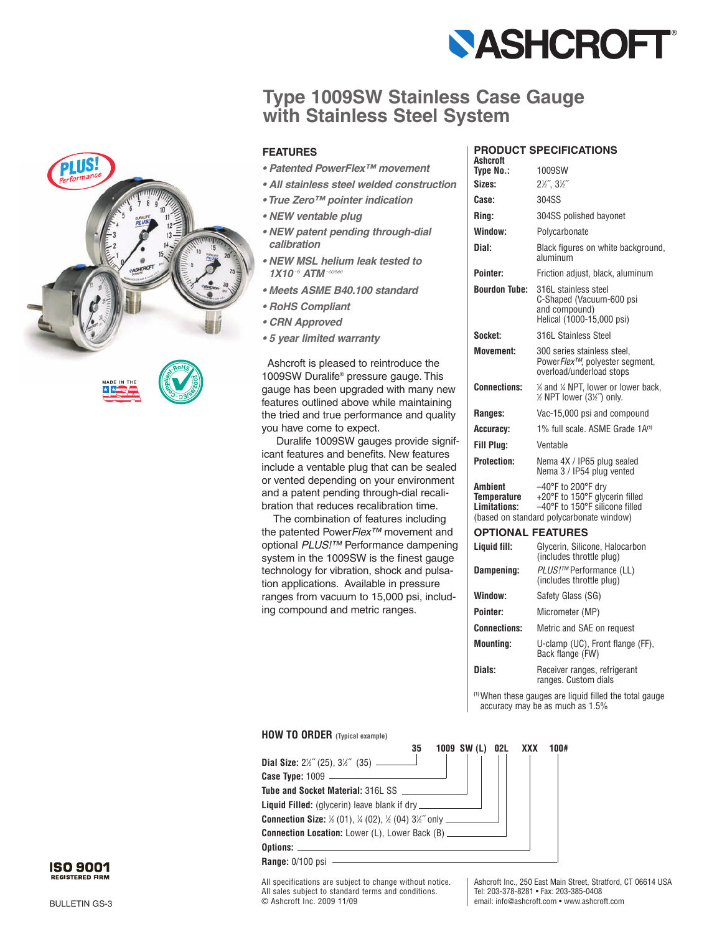

## **Type 1009SW Stainless Case Gauge with Stainless Steel System**



### **FEATURES**

- *Patented PowerFlex™ movement*
- *All stainless steel welded construction*
- *True Zero™ pointer indication*
- *NEW ventable plug*
- *NEW patent pending through-dial calibration*
- *NEW MSL helium leak tested to 1X10 -6 ATM -cc/sec*
- *Meets ASME B40.100 standard*
- *RoHS Compliant*
- *CRN Approved*
- *5 year limited warranty*

Ashcroft is pleased to reintroduce the 1009SW Duralife® pressure gauge. This gauge has been upgraded with many new features outlined above while maintaining the tried and true performance and quality you have come to expect.

Duralife 1009SW gauges provide significant features and benefits. New features include a ventable plug that can be sealed or vented depending on your environment and a patent pending through-dial recalibration that reduces recalibration time.

The combination of features including the patented Power*Flex™* movement and optional *PLUS!™* Performance dampening system in the 1009SW is the finest gauge technology for vibration, shock and pulsation applications. Available in pressure ranges from vacuum to 15,000 psi, including compound and metric ranges.

## **PRODUCT SPECIFICATIONS**

| Ashcroft                               |                                                                                                                                                         |
|----------------------------------------|---------------------------------------------------------------------------------------------------------------------------------------------------------|
| Type No.:                              | 1009SW                                                                                                                                                  |
| Sizes:                                 | $2\frac{1}{2}$ , $3\frac{1}{2}$                                                                                                                         |
| Case:                                  | 304SS                                                                                                                                                   |
| Ring:                                  | 304SS polished bayonet                                                                                                                                  |
| Window:                                | Polycarbonate                                                                                                                                           |
| Dial:                                  | Black figures on white background,<br>aluminum                                                                                                          |
| Pointer:                               | Friction adjust, black, aluminum                                                                                                                        |
| <b>Bourdon Tube:</b>                   | 316L stainless steel<br>C-Shaped (Vacuum-600 psi<br>and compound)<br>Helical (1000-15,000 psi)                                                          |
| Socket:                                | 316L Stainless Steel                                                                                                                                    |
| <b>Movement:</b>                       | 300 series stainless steel,<br>PowerFlex™, polyester segment,<br>overload/underload stops                                                               |
| <b>Connections:</b>                    | % and % NPT, lower or lower back,<br>1/2 NPT lower (31/2") only.                                                                                        |
| Ranges:                                | Vac-15,000 psi and compound                                                                                                                             |
| Accuracy:                              | 1% full scale. ASME Grade 1A <sup>(1)</sup>                                                                                                             |
| Fill Plua:                             | Ventable                                                                                                                                                |
| <b>Protection:</b>                     | Nema 4X / IP65 plug sealed<br>Nema 3 / IP54 plug vented                                                                                                 |
| Ambient<br>Temperature<br>Limitations: | $-40^{\circ}$ F to 200 $^{\circ}$ F dry<br>+20°F to 150°F glycerin filled<br>-40°F to 150°F silicone filled<br>(based on standard polycarbonate window) |
| <b>OPTIONAL FEATURES</b>               |                                                                                                                                                         |
|                                        |                                                                                                                                                         |

| Liquid fill:        | Glycerin, Silicone, Halocarbon<br>(includes throttle plug) |
|---------------------|------------------------------------------------------------|
| Dampening:          | <i>PLUS!™</i> Performance (LL)<br>(includes throttle plug) |
| Window:             | Safety Glass (SG)                                          |
| Pointer:            | Micrometer (MP)                                            |
| <b>Connections:</b> | Metric and SAE on request                                  |
| <b>Mounting:</b>    | U-clamp (UC), Front flange (FF),<br>Back flange (FW)       |
| Dials:              | Receiver ranges, refrigerant<br>ranges. Custom dials       |

**(1)**When these gauges are liquid filled the total gauge accuracy may be as much as 1.5%

#### **HOW TO ORDER (Typical example)**



All specifications are subject to change without notice. All sales subject to standard terms and conditions. © Ashcroft Inc. 2009 11/09

Ashcroft Inc., 250 East Main Street, Stratford, CT 06614 USA Tel: 203-378-8281 • Fax: 203-385-0408 email: info@ashcroft.com • www.ashcroft.com